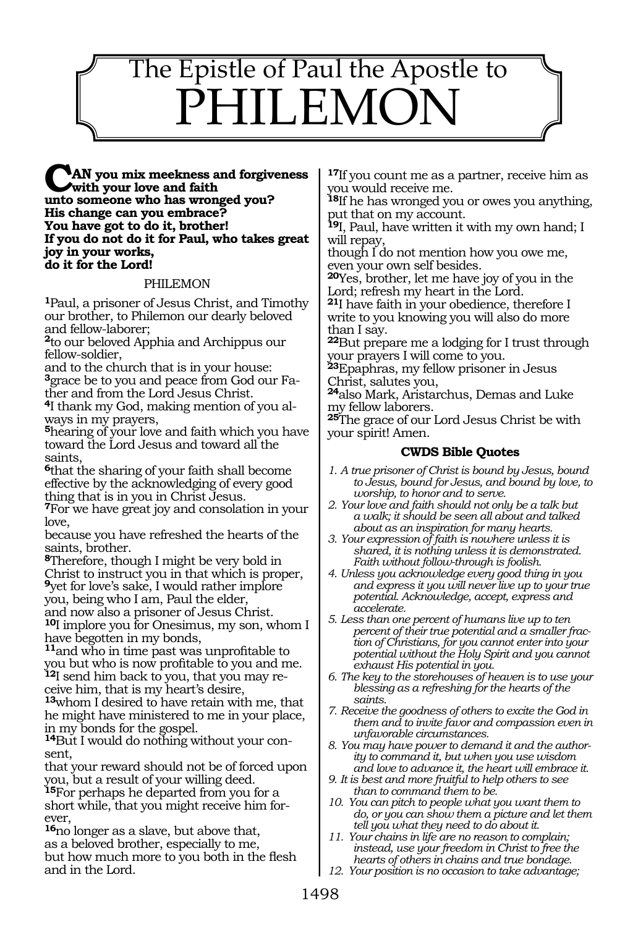## The Epistle of Paul the Apostle to HILEMC

**AN you mix meekness and forgiveness with your love and faith unto someone who has wronged you? His change can you embrace? You have got to do it, brother! If you do not do it for Paul, who takes great joy in your works, do it for the Lord!**

## PHILEMON

**<sup>1</sup>**Paul, a prisoner of Jesus Christ, and Timothy our brother, to Philemon our dearly beloved and fellow-laborer;

**<sup>2</sup>**to our beloved Apphia and Archippus our fellow-soldier,

and to the church that is in your house: **3**grace be to you and peace from God our Father and from the Lord Jesus Christ.

**4**I thank my God, making mention of you always in my prayers,

**<sup>5</sup>**hearing of your love and faith which you have toward the Lord Jesus and toward all the saints,

**<sup>6</sup>**that the sharing of your faith shall become effective by the acknowledging of every good thing that is in you in Christ Jesus.

**<sup>7</sup>**For we have great joy and consolation in your love,

because you have refreshed the hearts of the saints, brother.

**<sup>8</sup>**Therefore, though I might be very bold in Christ to instruct you in that which is proper, **<sup>9</sup>**yet for love's sake, I would rather implore you, being who I am, Paul the elder,

and now also a prisoner of Jesus Christ.

**<sup>10</sup>**I implore you for Onesimus, my son, whom I have begotten in my bonds,

**<sup>11</sup>**and who in time past was unprofitable to you but who is now profitable to you and me. **12**I send him back to you, that you may re-

ceive him, that is my heart's desire,

**<sup>13</sup>**whom I desired to have retain with me, that he might have ministered to me in your place, in my bonds for the gospel.

**14**But I would do nothing without your consent,

that your reward should not be of forced upon you, but a result of your willing deed.

**<sup>15</sup>**For perhaps he departed from you for a short while, that you might receive him forever,

**<sup>16</sup>**no longer as a slave, but above that, as a beloved brother, especially to me, but how much more to you both in the flesh and in the Lord.

**<sup>17</sup>**If you count me as a partner, receive him as you would receive me.

**<sup>18</sup>**If he has wronged you or owes you anything, put that on my account.

**<sup>19</sup>**I, Paul, have written it with my own hand; I will repay,

though I do not mention how you owe me, even your own self besides.

**<sup>20</sup>**Yes, brother, let me have joy of you in the Lord; refresh my heart in the Lord.

**<sup>21</sup>**I have faith in your obedience, therefore I write to you knowing you will also do more than I say.

**<sup>22</sup>**But prepare me a lodging for I trust through your prayers I will come to you.

**<sup>23</sup>**Epaphras, my fellow prisoner in Jesus Christ, salutes you,

**<sup>24</sup>**also Mark, Aristarchus, Demas and Luke my fellow laborers.

**<sup>25</sup>**The grace of our Lord Jesus Christ be with your spirit! Amen.

## **CWDS Bible Quotes**

- *1. A true prisoner of Christ is bound by Jesus, bound to Jesus, bound for Jesus, and bound by love, to worship, to honor and to serve.*
- *2. Your love and faith should not only be a talk but a walk; it should be seen all about and talked about as an inspiration for many hearts.*
- *3. Your expression of faith is nowhere unless it is shared, it is nothing unless it is demonstrated. Faith without follow-through is foolish.*
- *4. Unless you acknowledge every good thing in you and express it you will never live up to your true potential. Acknowledge, accept, express and accelerate.*
- *5. Less than one percent of humans live up to ten percent of their true potential and a smaller fraction of Christians, for you cannot enter into your potential without the Holy Spirit and you cannot exhaust His potential in you.*
- *6. The key to the storehouses of heaven is to use your blessing as a refreshing for the hearts of the saints.*
- *7. Receive the goodness of others to excite the God in them and to invite favor and compassion even in unfavorable circumstances.*
- *8. You may have power to demand it and the authority to command it, but when you use wisdom and love to advance it, the heart will embrace it.*
- *9. It is best and more fruitful to help others to see than to command them to be.*
- *10. You can pitch to people what you want them to do, or you can show them a picture and let them tell you what they need to do about it.*
- *11. Your chains in life are no reason to complain; instead, use your freedom in Christ to free the hearts of others in chains and true bondage.*
- *12. Your position is no occasion to take advantage;*